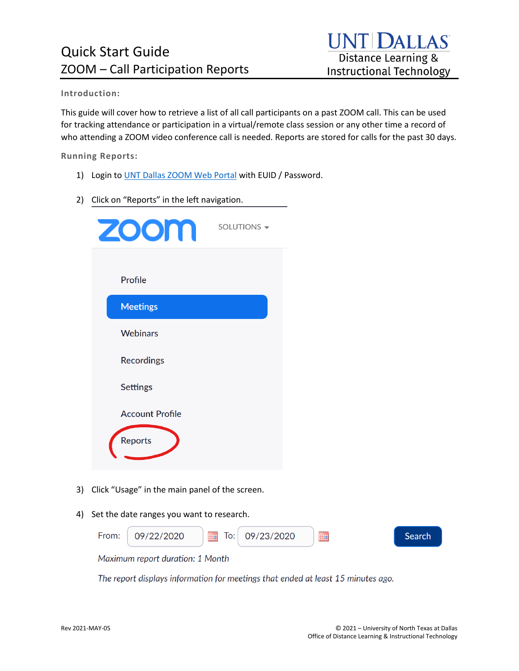### **Introduction:**

This guide will cover how to retrieve a list of all call participants on a past ZOOM call. This can be used for tracking attendance or participation in a virtual/remote class session or any other time a record of who attending a ZOOM video conference call is needed. Reports are stored for calls for the past 30 days.

**Running Reports:** 

- 1) Login to UNT Dallas [ZOOM Web Portal](https://untdallas.zoom.us/) with EUID / Password.
- 2) Click on "Reports" in the left navigation.

| <b>ZOOM</b>            | SOLUTIONS - |
|------------------------|-------------|
| Profile                |             |
| <b>Meetings</b>        |             |
| <b>Webinars</b>        |             |
| <b>Recordings</b>      |             |
| <b>Settings</b>        |             |
| <b>Account Profile</b> |             |
| Reports                |             |

- 3) Click "Usage" in the main panel of the screen.
- 4) Set the date ranges you want to research.



The report displays information for meetings that ended at least 15 minutes ago.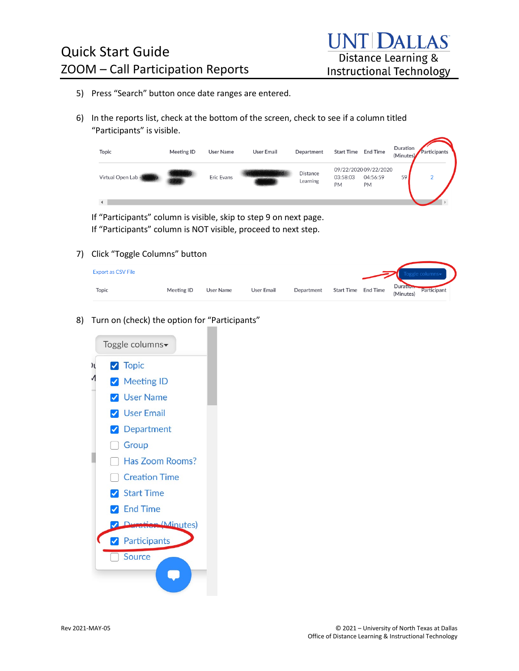- 5) Press "Search" button once date ranges are entered.
- 6) In the reports list, check at the bottom of the screen, check to see if a column titled "Participants" is visible.

| Topic            | Meeting ID | User Name  | <b>User Email</b> | Department                  | Start Time            | <b>End Time</b>                         | Duration<br>(Minutes) | Participants |
|------------------|------------|------------|-------------------|-----------------------------|-----------------------|-----------------------------------------|-----------------------|--------------|
| Virtual Open Lab |            | Eric Evans |                   | <b>Distance</b><br>Learning | 03:58:03<br><b>PM</b> | 09/22/2020 09/22/2020<br>04:56:59<br>PM | 59                    | $\Omega$     |
|                  |            |            |                   |                             |                       |                                         |                       |              |

If "Participants" column is visible, skip to step 9 on next page. If "Participants" column is NOT visible, proceed to next step.

#### 7) Click "Toggle Columns" button

| <b>Export as CSV File</b> |            |           |                   |            |                     |                                             |
|---------------------------|------------|-----------|-------------------|------------|---------------------|---------------------------------------------|
| Topic                     | Meeting ID | User Name | <b>User Email</b> | Department | Start Time End Time | <b>Duration</b><br>Participant<br>(Minutes) |

8) Turn on (check) the option for "Participants"